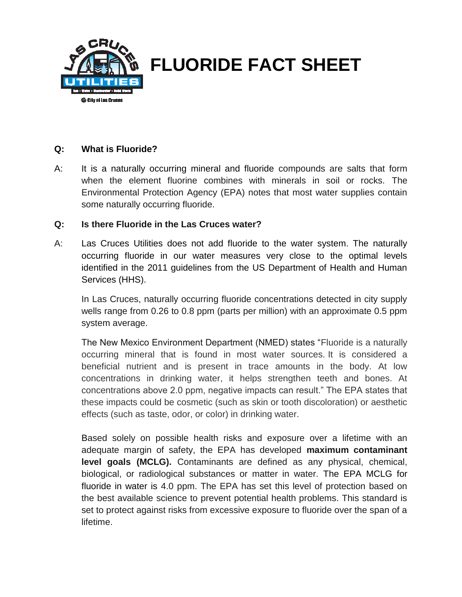

## **Q: What is Fluoride?**

A: It is a naturally occurring mineral and fluoride compounds are salts that form when the element fluorine combines with minerals in soil or rocks. The Environmental Protection Agency (EPA) notes that most water supplies contain some naturally occurring fluoride.

## **Q: Is there Fluoride in the Las Cruces water?**

A: Las Cruces Utilities does not add fluoride to the water system. The naturally occurring fluoride in our water measures very close to the optimal levels identified in the 2011 guidelines from the US Department of Health and Human Services (HHS).

In Las Cruces, naturally occurring fluoride concentrations detected in city supply wells range from 0.26 to 0.8 ppm (parts per million) with an approximate 0.5 ppm system average.

The New Mexico Environment Department (NMED) states "Fluoride is a naturally occurring mineral that is found in most water sources. It is considered a beneficial nutrient and is present in trace amounts in the body. At low concentrations in drinking water, it helps strengthen teeth and bones. At concentrations above 2.0 ppm, negative impacts can result." The EPA states that these impacts could be cosmetic (such as skin or tooth discoloration) or aesthetic effects (such as taste, odor, or color) in drinking water.

Based solely on possible health risks and exposure over a lifetime with an adequate margin of safety, the EPA has developed **maximum contaminant level goals (MCLG).** Contaminants are defined as any physical, chemical, biological, or radiological substances or matter in water. The EPA MCLG for fluoride in water is 4.0 ppm. The EPA has set this level of protection based on the best available science to prevent potential health problems. This standard is set to protect against risks from excessive exposure to fluoride over the span of a lifetime.